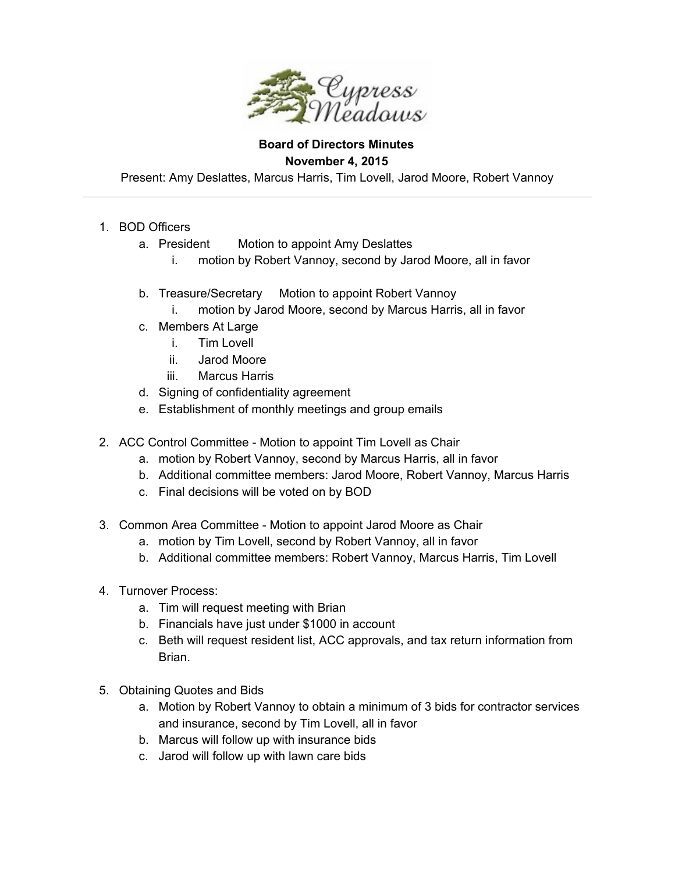

## **Board of Directors Minutes November 4, 2015**

Present: Amy Deslattes, Marcus Harris, Tim Lovell, Jarod Moore, Robert Vannoy

- 1. BOD Officers
	- a. President Motion to appoint Amy Deslattes
		- i. motion by Robert Vannoy, second by Jarod Moore, all in favor
	- b. Treasure/Secretary Motion to appoint Robert Vannoy
		- i. motion by Jarod Moore, second by Marcus Harris, all in favor
	- c. Members At Large
		- i. Tim Lovell
		- ii. Jarod Moore
		- iii. Marcus Harris
	- d. Signing of confidentiality agreement
	- e. Establishment of monthly meetings and group emails
- 2. ACC Control Committee Motion to appoint Tim Lovell as Chair
	- a. motion by Robert Vannoy, second by Marcus Harris, all in favor
	- b. Additional committee members: Jarod Moore, Robert Vannoy, Marcus Harris
	- c. Final decisions will be voted on by BOD
- 3. Common Area Committee Motion to appoint Jarod Moore as Chair
	- a. motion by Tim Lovell, second by Robert Vannoy, all in favor
	- b. Additional committee members: Robert Vannoy, Marcus Harris, Tim Lovell
- 4. Turnover Process:
	- a. Tim will request meeting with Brian
	- b. Financials have just under \$1000 in account
	- c. Beth will request resident list, ACC approvals, and tax return information from Brian.
- 5. Obtaining Quotes and Bids
	- a. Motion by Robert Vannoy to obtain a minimum of 3 bids for contractor services and insurance, second by Tim Lovell, all in favor
	- b. Marcus will follow up with insurance bids
	- c. Jarod will follow up with lawn care bids